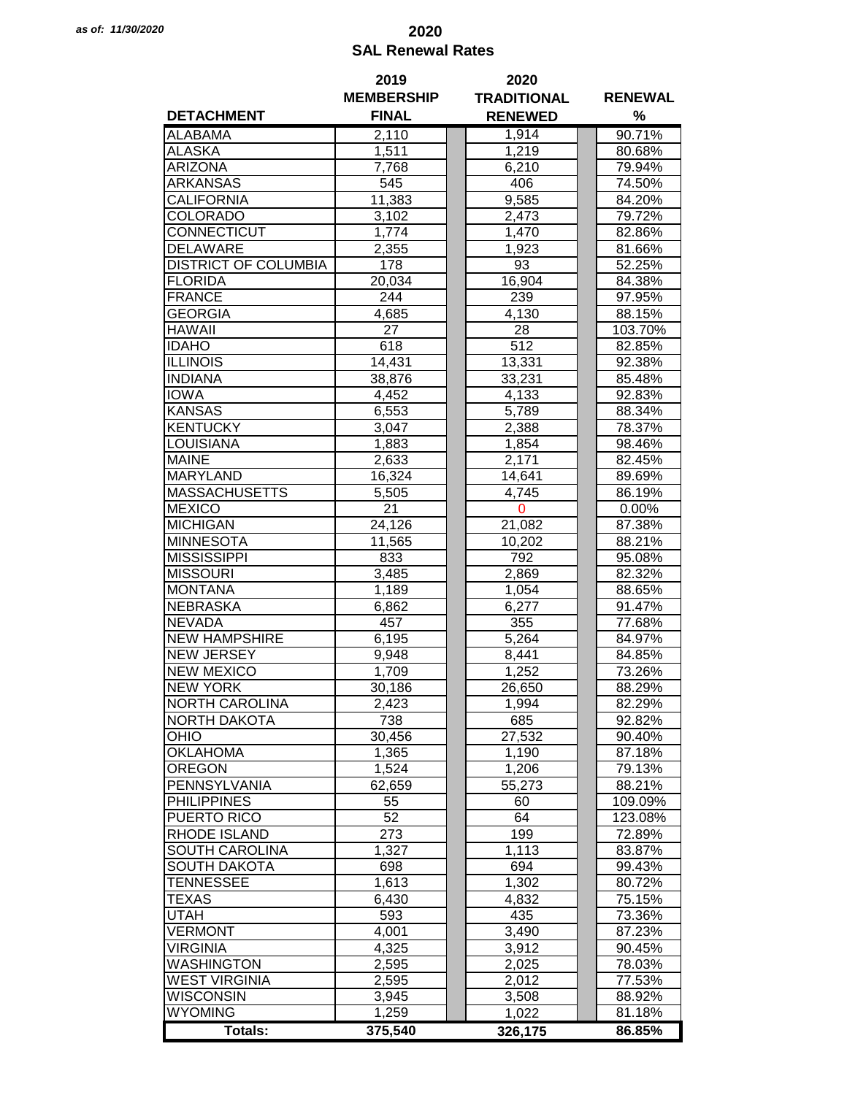## *as of: 11/30/2020* **2020 SAL Renewal Rates**

|                             | 2019              | 2020               |                  |
|-----------------------------|-------------------|--------------------|------------------|
|                             | <b>MEMBERSHIP</b> | <b>TRADITIONAL</b> | <b>RENEWAL</b>   |
| <b>DETACHMENT</b>           | <b>FINAL</b>      | <b>RENEWED</b>     | %                |
| <b>ALABAMA</b>              | 2,110             | 1,914              | 90.71%           |
| <b>ALASKA</b>               | 1,511             | 1,219              | 80.68%           |
| <b>ARIZONA</b>              | 7,768             | 6,210              | 79.94%           |
| ARKANSAS                    | 545               | 406                | 74.50%           |
|                             |                   |                    |                  |
| CALIFORNIA                  | 11,383            | 9,585              | 84.20%           |
| COLORADO                    | 3,102             | 2,473              | 79.72%           |
| CONNECTICUT                 | 1,774             | 1,470              | 82.86%           |
| <b>DELAWARE</b>             | 2,355             | 1,923              | 81.66%           |
| <b>DISTRICT OF COLUMBIA</b> | 178               | 93                 | 52.25%           |
| <b>FLORIDA</b>              | 20,034            | 16,904             | 84.38%           |
| <b>FRANCE</b>               | 244               | 239                | 97.95%           |
| <b>GEORGIA</b>              | 4,685             | 4,130              | 88.15%           |
| <b>HAWAII</b>               | 27                | 28                 | 103.70%          |
| <b>IDAHO</b>                | 618               | 512                | 82.85%           |
| <b>ILLINOIS</b>             | 14,431            | 13,331             | 92.38%           |
| <b>INDIANA</b>              | 38,876            | 33,231             | 85.48%           |
| <b>IOWA</b>                 | 4,452             | 4,133              | 92.83%           |
| <b>KANSAS</b>               | 6,553             | 5,789              | 88.34%           |
| <b>KENTUCKY</b>             | 3,047             | 2,388              | 78.37%           |
| <b>LOUISIANA</b>            | 1,883             | 1,854              | 98.46%           |
| <b>MAINE</b>                | 2,633             | 2,171              | 82.45%           |
| <b>MARYLAND</b>             | 16,324            | 14,641             | 89.69%           |
| <b>MASSACHUSETTS</b>        | 5,505             | 4,745              | 86.19%           |
| <b>MEXICO</b>               | 21                | $\mathbf 0$        | 0.00%            |
| <b>MICHIGAN</b>             | 24,126            | 21,082             | 87.38%           |
| <b>MINNESOTA</b>            | 11,565            | 10,202             | 88.21%           |
| <b>MISSISSIPPI</b>          | 833               | 792                |                  |
| <b>MISSOURI</b>             |                   |                    | 95.08%<br>82.32% |
| <b>MONTANA</b>              | 3,485             | 2,869              |                  |
|                             | 1,189             | 1,054              | 88.65%           |
| <b>NEBRASKA</b>             | 6,862             | 6,277              | 91.47%           |
| <b>NEVADA</b>               | 457               | 355                | 77.68%           |
| <b>NEW HAMPSHIRE</b>        | 6,195             | 5,264              | 84.97%           |
| <b>NEW JERSEY</b>           | 9,948             | 8,441              | 84.85%           |
| <b>NEW MEXICO</b>           | 1,709             | 1,252              | 73.26%           |
| <b>NEW YORK</b>             | 30,186            | 26,650             | 88.29%           |
| <b>NORTH CAROLINA</b>       | 2,423             | 1,994              | 82.29%           |
| <b>NORTH DAKOTA</b>         | 738               | 685                | 92.82%           |
| OHIO                        | 30,456            | 27,532             | 90.40%           |
| <b>OKLAHOMA</b>             | 1,365             | 1,190              | 87.18%           |
| <b>OREGON</b>               | 1,524             | 1,206              | 79.13%           |
| PENNSYLVANIA                | 62,659            | 55,273             | 88.21%           |
| <b>PHILIPPINES</b>          | 55                | 60                 | 109.09%          |
| PUERTO RICO                 | 52                | 64                 | 123.08%          |
| <b>RHODE ISLAND</b>         | 273               | 199                | 72.89%           |
| SOUTH CAROLINA              | 1,327             | 1,113              | 83.87%           |
| <b>SOUTH DAKOTA</b>         | 698               | 694                | 99.43%           |
| <b>TENNESSEE</b>            | 1,613             | 1,302              | 80.72%           |
| <b>TEXAS</b>                | 6,430             | 4,832              | 75.15%           |
| <b>UTAH</b>                 | 593               | 435                | 73.36%           |
| <b>VERMONT</b>              | 4,001             | 3,490              | 87.23%           |
| <b>VIRGINIA</b>             | 4,325             | 3,912              | 90.45%           |
| <b>WASHINGTON</b>           | 2,595             | 2,025              | 78.03%           |
| <b>WEST VIRGINIA</b>        | 2,595             | 2,012              | 77.53%           |
| <b>WISCONSIN</b>            | 3,945             | 3,508              | 88.92%           |
| <b>WYOMING</b>              | 1,259             | 1,022              | 81.18%           |
|                             |                   |                    |                  |
| <b>Totals:</b>              | 375,540           | 326,175            | 86.85%           |